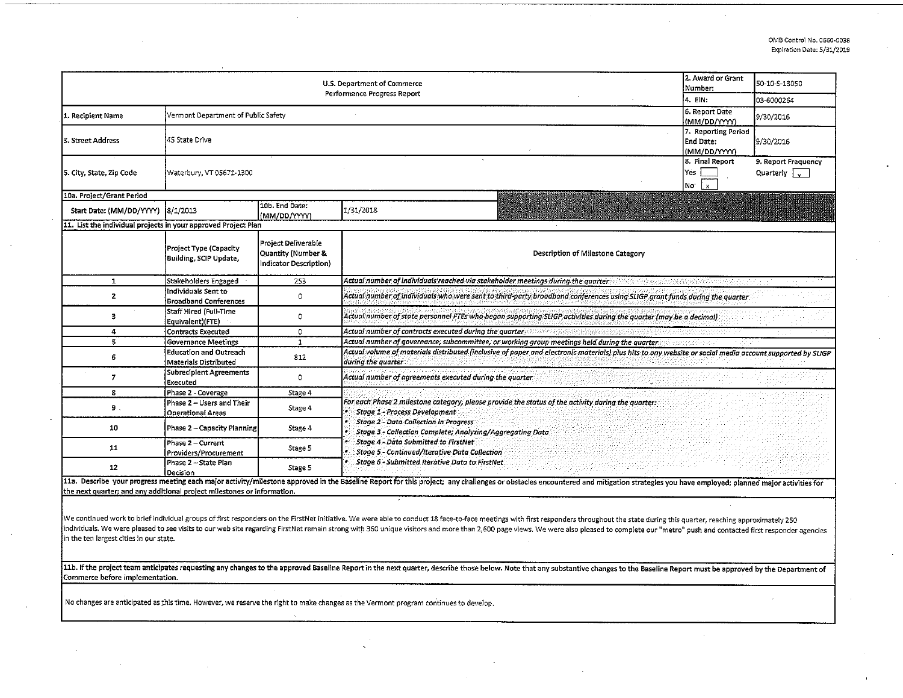| U.S. Department of Commerce<br>Performance Progress Report                                                                                                                                                                                                                                                                                                                                                                                                                                                  |                                                               |                                                                                                                                                                                       |                                                                                                                                                                                                                                                         |                                                  | 50-10-S-13050                                           |  |  |  |  |  |
|-------------------------------------------------------------------------------------------------------------------------------------------------------------------------------------------------------------------------------------------------------------------------------------------------------------------------------------------------------------------------------------------------------------------------------------------------------------------------------------------------------------|---------------------------------------------------------------|---------------------------------------------------------------------------------------------------------------------------------------------------------------------------------------|---------------------------------------------------------------------------------------------------------------------------------------------------------------------------------------------------------------------------------------------------------|--------------------------------------------------|---------------------------------------------------------|--|--|--|--|--|
|                                                                                                                                                                                                                                                                                                                                                                                                                                                                                                             | 4. EIN:                                                       | 03-6000264                                                                                                                                                                            |                                                                                                                                                                                                                                                         |                                                  |                                                         |  |  |  |  |  |
| 1. Recipient Name                                                                                                                                                                                                                                                                                                                                                                                                                                                                                           | Vermont Department of Public Safety                           |                                                                                                                                                                                       |                                                                                                                                                                                                                                                         | 6. Report Date<br>(MM/DD/YYYY)                   | 9/30/2016                                               |  |  |  |  |  |
| 3. Street Address                                                                                                                                                                                                                                                                                                                                                                                                                                                                                           | 45 State Drive                                                |                                                                                                                                                                                       |                                                                                                                                                                                                                                                         | 7. Reporting Period<br>End Date:<br>(MM/DD/YYYY) | 9/30/2016                                               |  |  |  |  |  |
| 5. City, State, Zip Code                                                                                                                                                                                                                                                                                                                                                                                                                                                                                    | Waterbury, VT 05671-1300                                      |                                                                                                                                                                                       |                                                                                                                                                                                                                                                         |                                                  | 9. Report Frequency<br>$Quarterly$ $\sqrt{\phantom{a}}$ |  |  |  |  |  |
| 10a. Project/Grant Period                                                                                                                                                                                                                                                                                                                                                                                                                                                                                   |                                                               |                                                                                                                                                                                       |                                                                                                                                                                                                                                                         |                                                  |                                                         |  |  |  |  |  |
| Start Date: (MM/DD/YYYY)                                                                                                                                                                                                                                                                                                                                                                                                                                                                                    | 8/1/2013                                                      | 10b. End Date:<br>(MM/DD/YYYY)                                                                                                                                                        | 1/31/2018                                                                                                                                                                                                                                               |                                                  |                                                         |  |  |  |  |  |
| 11. List the individual projects in your approved Project Plan                                                                                                                                                                                                                                                                                                                                                                                                                                              |                                                               |                                                                                                                                                                                       |                                                                                                                                                                                                                                                         |                                                  |                                                         |  |  |  |  |  |
|                                                                                                                                                                                                                                                                                                                                                                                                                                                                                                             | Project Type (Capacity<br>Building, SCIP Update,              | Project Deliverable<br>Quantity (Number &<br>Indicator Description)                                                                                                                   | Description of Milestone Category                                                                                                                                                                                                                       |                                                  |                                                         |  |  |  |  |  |
| $\mathbf{1}$                                                                                                                                                                                                                                                                                                                                                                                                                                                                                                | Stakeholders Engaged                                          | 253                                                                                                                                                                                   | Actual number of individuals reached via stakeholder meetings during the quarter                                                                                                                                                                        |                                                  |                                                         |  |  |  |  |  |
| $\overline{2}$                                                                                                                                                                                                                                                                                                                                                                                                                                                                                              | Individuals Sent to<br><b>Broadband Conferences</b>           | $\circ$                                                                                                                                                                               | Actual number of individuals who were sent to third-party broadband conferences using SLIGP grant funds during the quarter                                                                                                                              |                                                  |                                                         |  |  |  |  |  |
| 3                                                                                                                                                                                                                                                                                                                                                                                                                                                                                                           | Staff Hired (Full-Time<br>Equivalent)(FTE)                    | 0                                                                                                                                                                                     | Actual number of state personnel FTEs who began supporting SLIGP activities during the quarter (may be a decimal)                                                                                                                                       |                                                  |                                                         |  |  |  |  |  |
| 4                                                                                                                                                                                                                                                                                                                                                                                                                                                                                                           | <b>Contracts Executed</b>                                     | 0                                                                                                                                                                                     | Actual number of contracts executed during the quarter                                                                                                                                                                                                  |                                                  |                                                         |  |  |  |  |  |
| 5                                                                                                                                                                                                                                                                                                                                                                                                                                                                                                           | <b>Governance Meetings</b>                                    | $\mathbf{1}$                                                                                                                                                                          | Actual number of governance, subcommittee, or working group meetings held during the quarter.                                                                                                                                                           |                                                  |                                                         |  |  |  |  |  |
| 6                                                                                                                                                                                                                                                                                                                                                                                                                                                                                                           | <b>Education and Outreach</b><br><b>Materials Distributed</b> | Actual volume of materials distributed (inclusive of paper and electronic materials) plus hits to any website or social media account supported by SLIGP<br>812<br>during the quarter |                                                                                                                                                                                                                                                         |                                                  |                                                         |  |  |  |  |  |
| 7                                                                                                                                                                                                                                                                                                                                                                                                                                                                                                           | <b>Subrecipient Agreements</b><br>Executed                    | $\Omega$                                                                                                                                                                              | Actual number of agreements executed during the quarter                                                                                                                                                                                                 |                                                  |                                                         |  |  |  |  |  |
| 8                                                                                                                                                                                                                                                                                                                                                                                                                                                                                                           | Phase 2 - Coverage                                            | Stage 4                                                                                                                                                                               |                                                                                                                                                                                                                                                         |                                                  |                                                         |  |  |  |  |  |
| 9.                                                                                                                                                                                                                                                                                                                                                                                                                                                                                                          | Phase 2 - Users and Their<br><b>Operational Areas</b>         | Stage 4                                                                                                                                                                               | For each Phase 2 milestone category, please provide the status of the activity during the quarter:<br><b>Stage 1 - Process Development</b><br><b>Stage 2 - Data Collection in Progress</b><br>Stage 3 - Collection Complete; Analyzing/Aggregating Data |                                                  |                                                         |  |  |  |  |  |
| 10                                                                                                                                                                                                                                                                                                                                                                                                                                                                                                          | Phase 2 - Capacity Planning                                   | Stage 4                                                                                                                                                                               |                                                                                                                                                                                                                                                         |                                                  |                                                         |  |  |  |  |  |
| 11                                                                                                                                                                                                                                                                                                                                                                                                                                                                                                          | Phase 2 - Current<br>Providers/Procurement                    | Stage 5                                                                                                                                                                               | <b>Stage 4 - Data Submitted to FirstNet</b><br><b>Stage 5 - Continued/Iterative Data Collection</b><br>Stage 6 - Submitted Iterative Data to FirstNet                                                                                                   |                                                  |                                                         |  |  |  |  |  |
| 12                                                                                                                                                                                                                                                                                                                                                                                                                                                                                                          | Phase 2 - State Plan<br>Decision                              | Stage 5                                                                                                                                                                               |                                                                                                                                                                                                                                                         |                                                  |                                                         |  |  |  |  |  |
| 11a. Describe your progress meeting each major activity/milestone approved in the Baseline Report for this project; any challenges or obstacles encountered and mitigation strategies you have employed; planned major activit                                                                                                                                                                                                                                                                              |                                                               |                                                                                                                                                                                       |                                                                                                                                                                                                                                                         |                                                  |                                                         |  |  |  |  |  |
| the next quarter; and any additional project milestones or information.                                                                                                                                                                                                                                                                                                                                                                                                                                     |                                                               |                                                                                                                                                                                       |                                                                                                                                                                                                                                                         |                                                  |                                                         |  |  |  |  |  |
| We continued work to brief individual groups of first responders on the FirstNet initiative. We were able to conduct 18 face-to-face meetings with first responders throughout the state during this quarter, reaching approxi<br>individuals. We were pleased to see visits to our web site regarding FirstNet remain strong with 360 unique visitors and more than 2,600 page views. We were also pleased to complete our "metro" push and contacted first res<br>in the ten largest cities in our state. |                                                               |                                                                                                                                                                                       |                                                                                                                                                                                                                                                         |                                                  |                                                         |  |  |  |  |  |
| 11b. If the project team anticipates requesting any changes to the approved Baseline Report in the next quarter, describe those below. Note that any substantive changes to the Baseline Report must be approved by the Depart<br>Commerce before implementation.                                                                                                                                                                                                                                           |                                                               |                                                                                                                                                                                       |                                                                                                                                                                                                                                                         |                                                  |                                                         |  |  |  |  |  |

No changes are anticipated as this time. However, we reserve the right to make changes as the Vermont program continues to develop.

 $\mathbf{r}$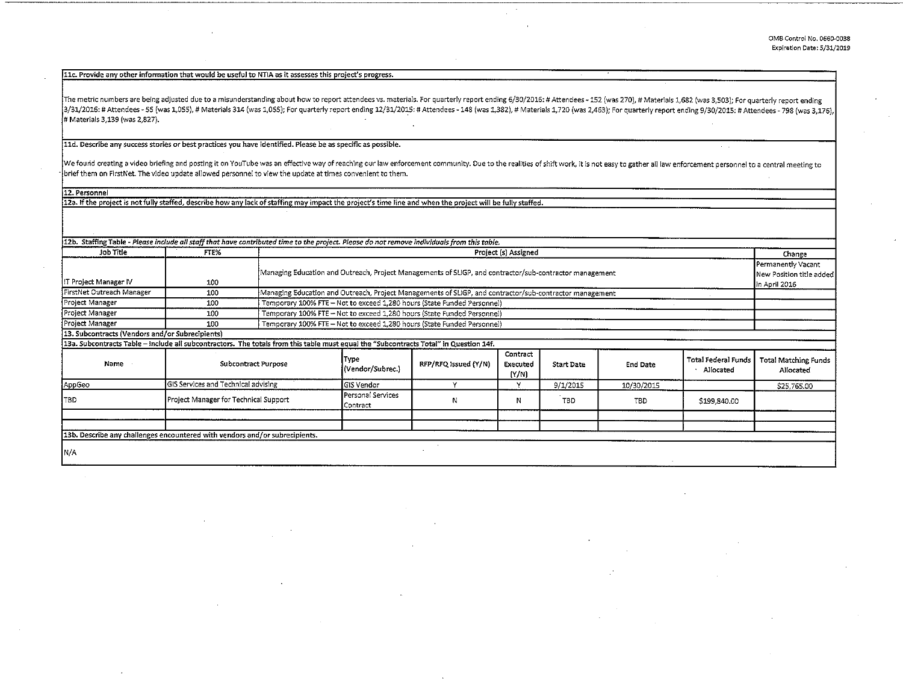$\sim$   $\sim$ 

11c. Provide any other information that would be useful to NTIA as it assesses this project's progress.

The metric numbers are being adjusted due to a misunderstanding about how to report attendees vs. materials. For quarterly report ending 6/30/2016: # Attendees - 152 (was 270), # Materials 1,682 (was 3,503); For quarterly 3/31/2016: # Attendees - 55 (was 1,055), # Materials 314 (was 1,055); For quarterly report ending 12/31/2015: # Attendees - 148 (was 1,382), # Materials 1,720 (was 2,463); For quarterly report ending 9/30/2015: # Attendees # Materials 3,139 (was 2,827).

lld. Describe any success stories or best practices you have identified. Please be as specific as possible.

We found creating a video briefing and posting it on YouTube was an effective way of reaching our law enforcement community. Due to the realities of shift work, it is not easy to gather all law enforcement personnel to a c · brief them on First Net. The video update allowed personnel to view the update at times convenient to them.

12. Personnel

12a. If the project is not fully staffed, describe how any lack of staffing may impact the project's time line and when the project will be fully staffed.

| 12b. Staffing Table - Please include all staff that have contributed time to the project. Please do not remove individuals from this table. |                                       |                                                                                                         |                               |                      |                               |                   |                 |                                                                 |                                          |
|---------------------------------------------------------------------------------------------------------------------------------------------|---------------------------------------|---------------------------------------------------------------------------------------------------------|-------------------------------|----------------------|-------------------------------|-------------------|-----------------|-----------------------------------------------------------------|------------------------------------------|
| Job Title                                                                                                                                   | FTE%                                  | Project (s) Assigned                                                                                    |                               |                      |                               |                   |                 | Change                                                          |                                          |
| IT Project Manager IV                                                                                                                       | 100                                   | Managing Education and Outreach, Project Managements of SLIGP, and contractor/sub-contractor management |                               |                      |                               |                   |                 | Permanently Vacant<br>New Position title added<br>in April 2016 |                                          |
| FirstNet Outreach Manager                                                                                                                   | 100                                   | Managing Education and Outreach, Project Managements of SLIGP, and contractor/sub-contractor management |                               |                      |                               |                   |                 |                                                                 |                                          |
| Project Manager                                                                                                                             | 100                                   | Temporary 100% FTE - Not to exceed 1,280 hours (State Funded Personnel)                                 |                               |                      |                               |                   |                 |                                                                 |                                          |
| Project Manager                                                                                                                             | 100                                   | Temporary 100% FTE - Not to exceed 1,280 hours (State Funded Personnel)                                 |                               |                      |                               |                   |                 |                                                                 |                                          |
| Project Manager                                                                                                                             | 100                                   | Temporary 100% FTE - Not to exceed 1,280 hours (State Funded Personnel)                                 |                               |                      |                               |                   |                 |                                                                 |                                          |
| 13. Subcontracts (Vendors and/or Subrecipients)                                                                                             |                                       |                                                                                                         |                               |                      |                               |                   |                 |                                                                 |                                          |
| 13a. Subcontracts Table – include all subcontractors. The totals from this table must equal the "Subcontracts Total" in Question 14f.       |                                       |                                                                                                         |                               |                      |                               |                   |                 |                                                                 |                                          |
| Name                                                                                                                                        | <b>Subcontract Purpose</b>            |                                                                                                         | Type<br>(Vendor/Subrec.)      | RFP/RFQ Issued (Y/N) | Contract<br>Executed<br>(Y/N) | <b>Start Date</b> | <b>End Date</b> | <b>Total Federal Funds</b><br>Allocated                         | <b>Total Matching Funds</b><br>Allocated |
| AppGeo                                                                                                                                      | GIS Services and Technical advising   |                                                                                                         | GIS Vendor                    |                      |                               | 9/1/2015          | 10/30/2015      |                                                                 | \$25,765.00                              |
| <b>TBD</b>                                                                                                                                  | Project Manager for Technical Support |                                                                                                         | Personal Services<br>Contract | N.                   | Ν                             | <b>TBD</b>        | TBD.            | \$199,840.00                                                    |                                          |
|                                                                                                                                             |                                       |                                                                                                         |                               |                      |                               |                   |                 |                                                                 |                                          |
|                                                                                                                                             |                                       |                                                                                                         |                               |                      |                               |                   |                 |                                                                 |                                          |
| 13b. Describe any challenges encountered with vendors and/or subrecipients.                                                                 |                                       |                                                                                                         |                               |                      |                               |                   |                 |                                                                 |                                          |
| IN/A                                                                                                                                        |                                       |                                                                                                         |                               |                      |                               |                   |                 |                                                                 |                                          |